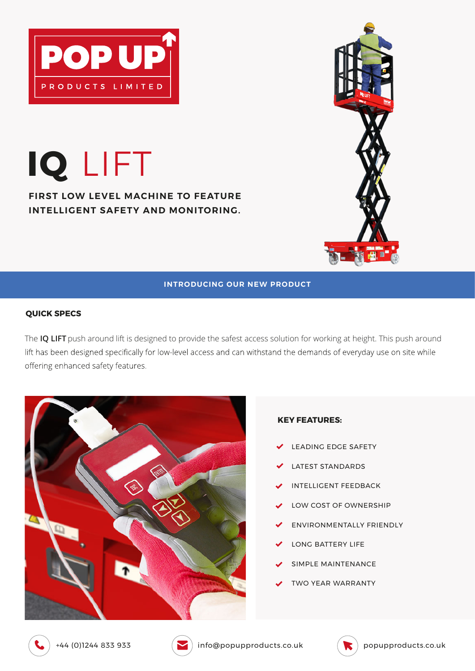

**IQ** LIFT

**FIRST LOW LEVEL MACHINE TO FEATURE INTELLIGENT SAFETY AND MONITORING.**



## **INTRODUCING OUR NEW PRODUCT**

## **QUICK SPECS**

The **IQ LIFT** push around lift is designed to provide the safest access solution for working at height. This push around lift has been designed specifically for low-level access and can withstand the demands of everyday use on site while offering enhanced safety features.



## **KEY FEATURES:**

- LEADING EDGE SAFETY
- LATEST STANDARDS
- INTELLIGENT FEEDBACK
- LOW COST OF OWNERSHIP
- ENVIRONMENTALLY FRIENDLY
- LONG BATTERY LIFE
- SIMPLE MAINTENANCE
- TWO YEAR WARRANTY